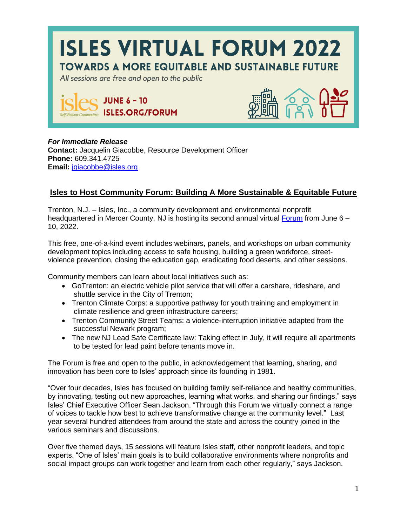

## *For Immediate Release*

**Contact:** Jacquelin Giacobbe, Resource Development Officer **Phone:** 609.341.4725 **Email:** [jgiacobbe@isles.org](mailto:jgiacobbe@isles.org)

## **Isles to Host Community Forum: Building A More Sustainable & Equitable Future**

Trenton, N.J. – Isles, Inc., a community development and environmental nonprofit headquartered in Mercer County, NJ is hosting its second annual virtual [Forum](https://isles.org/forum) from June 6 – 10, 2022.

This free, one-of-a-kind event includes webinars, panels, and workshops on urban community development topics including access to safe housing, building a green workforce, streetviolence prevention, closing the education gap, eradicating food deserts, and other sessions.

Community members can learn about local initiatives such as:

- GoTrenton: an electric vehicle pilot service that will offer a carshare, rideshare, and shuttle service in the City of Trenton;
- Trenton Climate Corps: a supportive pathway for youth training and employment in climate resilience and green infrastructure careers;
- Trenton Community Street Teams: a violence-interruption initiative adapted from the successful Newark program;
- The new NJ Lead Safe Certificate law: Taking effect in July, it will require all apartments to be tested for lead paint before tenants move in.

The Forum is free and open to the public, in acknowledgement that learning, sharing, and innovation has been core to Isles' approach since its founding in 1981.

"Over four decades, Isles has focused on building family self-reliance and healthy communities, by innovating, testing out new approaches, learning what works, and sharing our findings," says Isles' Chief Executive Officer Sean Jackson. "Through this Forum we virtually connect a range of voices to tackle how best to achieve transformative change at the community level." Last year several hundred attendees from around the state and across the country joined in the various seminars and discussions.

Over five themed days, 15 sessions will feature Isles staff, other nonprofit leaders, and topic experts. "One of Isles' main goals is to build collaborative environments where nonprofits and social impact groups can work together and learn from each other regularly," says Jackson.